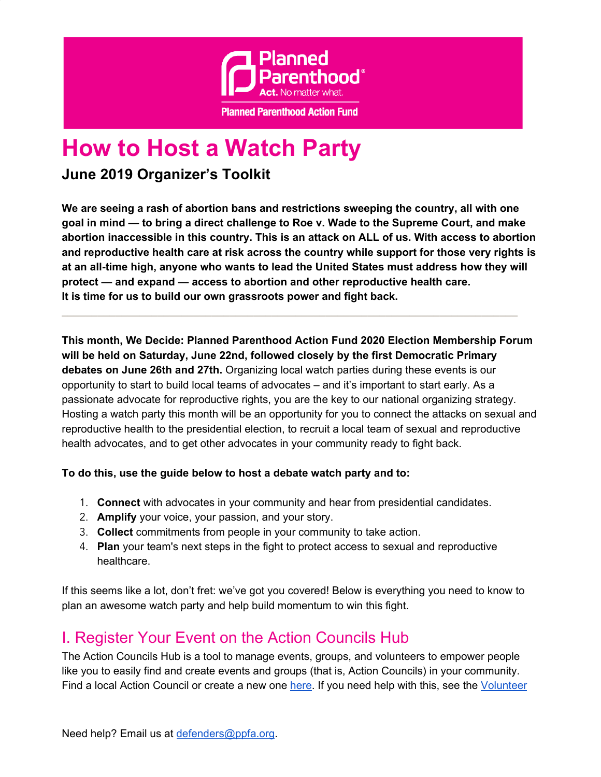

# **How to Host a Watch Party**

### **June 2019 Organizer's Toolkit**

**We are seeing a rash of abortion bans and restrictions sweeping the country, all with one goal in mind — to bring a direct challenge to Roe v. Wade to the Supreme Court, and make abortion inaccessible in this country. This is an attack on ALL of us. With access to abortion and reproductive health care at risk across the country while support for those very rights is at an all-time high, anyone who wants to lead the United States must address how they will protect — and expand — access to abortion and other reproductive health care. It is time for us to build our own grassroots power and fight back.**

**\_\_\_\_\_\_\_\_\_\_\_\_\_\_\_\_\_\_\_\_\_\_\_\_\_\_\_\_\_\_\_\_\_\_\_\_\_\_\_\_\_\_\_\_\_\_\_\_\_\_\_\_\_\_\_\_\_\_\_\_\_\_\_\_\_\_\_\_\_\_\_\_\_\_\_\_**

**This month, We Decide: Planned Parenthood Action Fund 2020 Election Membership Forum will be held on Saturday, June 22nd, followed closely by the first Democratic Primary debates on June 26th and 27th.** Organizing local watch parties during these events is our opportunity to start to build local teams of advocates – and it's important to start early. As a passionate advocate for reproductive rights, you are the key to our national organizing strategy. Hosting a watch party this month will be an opportunity for you to connect the attacks on sexual and reproductive health to the presidential election, to recruit a local team of sexual and reproductive health advocates, and to get other advocates in your community ready to fight back.

#### **To do this, use the guide below to host a debate watch party and to:**

- 1. **Connect** with advocates in your community and hear from presidential candidates.
- 2. **Amplify** your voice, your passion, and your story.
- 3. **Collect** commitments from people in your community to take action.
- 4. **Plan** your team's next steps in the fight to protect access to sexual and reproductive healthcare.

If this seems like a lot, don't fret: we've got you covered! Below is everything you need to know to plan an awesome watch party and help build momentum to win this fight.

### I. Register Your Event on the Action Councils Hub

The Action Councils Hub is a tool to manage events, groups, and volunteers to empower people like you to easily find and create events and groups (that is, Action Councils) in your community. Find a local Action Council or create a new one [here.](https://act.plannedparenthoodaction.org/group_collections/147) If you need help with this, see the [Volunteer](https://www.plannedparenthoodaction.org/uploads/filer_public/73/3f/733f3fbe-c7d6-45ef-a344-1f25d08fe46f/action-councils-hub-guide-for-volunteer-organizers-5-13-19.pdf)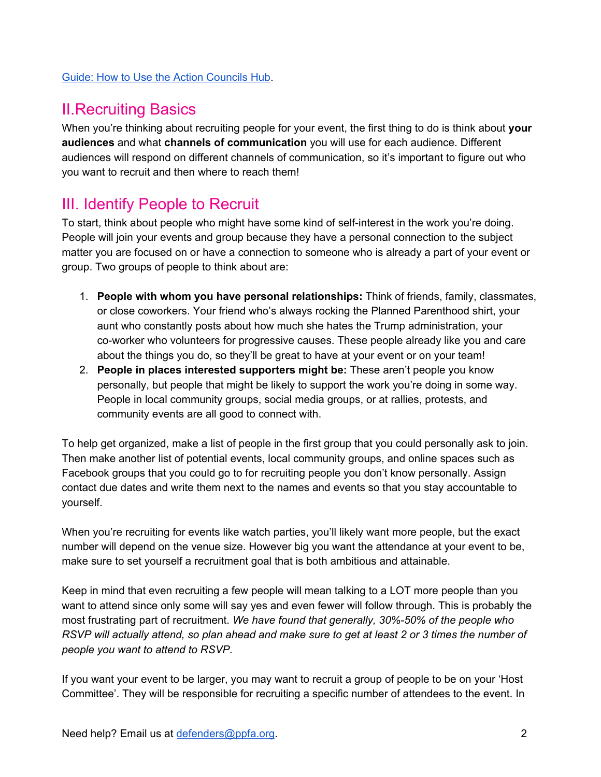#### Guide: How to Use the Action [Councils](https://www.plannedparenthoodaction.org/uploads/filer_public/73/3f/733f3fbe-c7d6-45ef-a344-1f25d08fe46f/action-councils-hub-guide-for-volunteer-organizers-5-13-19.pdf) Hub.

### II.Recruiting Basics

When you're thinking about recruiting people for your event, the first thing to do is think about **your audiences** and what **channels of communication** you will use for each audience. Different audiences will respond on different channels of communication, so it's important to figure out who you want to recruit and then where to reach them!

### III. Identify People to Recruit

To start, think about people who might have some kind of self-interest in the work you're doing. People will join your events and group because they have a personal connection to the subject matter you are focused on or have a connection to someone who is already a part of your event or group. Two groups of people to think about are:

- 1. **People with whom you have personal relationships:** Think of friends, family, classmates, or close coworkers. Your friend who's always rocking the Planned Parenthood shirt, your aunt who constantly posts about how much she hates the Trump administration, your co-worker who volunteers for progressive causes. These people already like you and care about the things you do, so they'll be great to have at your event or on your team!
- 2. **People in places interested supporters might be:** These aren't people you know personally, but people that might be likely to support the work you're doing in some way. People in local community groups, social media groups, or at rallies, protests, and community events are all good to connect with.

To help get organized, make a list of people in the first group that you could personally ask to join. Then make another list of potential events, local community groups, and online spaces such as Facebook groups that you could go to for recruiting people you don't know personally. Assign contact due dates and write them next to the names and events so that you stay accountable to yourself.

When you're recruiting for events like watch parties, you'll likely want more people, but the exact number will depend on the venue size. However big you want the attendance at your event to be, make sure to set yourself a recruitment goal that is both ambitious and attainable.

Keep in mind that even recruiting a few people will mean talking to a LOT more people than you want to attend since only some will say yes and even fewer will follow through. This is probably the most frustrating part of recruitment. *We have found that generally, 30%-50% of the people who* RSVP will actually attend, so plan ahead and make sure to get at least 2 or 3 times the number of *people you want to attend to RSVP.*

If you want your event to be larger, you may want to recruit a group of people to be on your 'Host Committee'. They will be responsible for recruiting a specific number of attendees to the event. In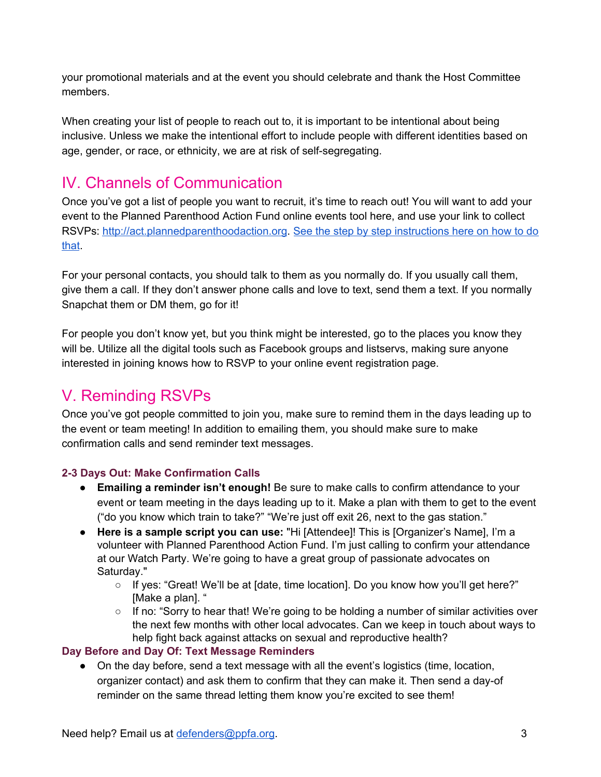your promotional materials and at the event you should celebrate and thank the Host Committee members.

When creating your list of people to reach out to, it is important to be intentional about being inclusive. Unless we make the intentional effort to include people with different identities based on age, gender, or race, or ethnicity, we are at risk of self-segregating.

## IV. Channels of Communication

Once you've got a list of people you want to recruit, it's time to reach out! You will want to add your event to the Planned Parenthood Action Fund online events tool here, and use your link to collect RSVPs: [http://act.plannedparenthoodaction.org](http://act.plannedparenthoodaction.org/). See the step by step [instructions](https://plannedparenthoodaction.org/uploads/filer_public/73/3f/733f3fbe-c7d6-45ef-a344-1f25d08fe46f/action-councils-hub-guide-for-volunteer-organizers-5-13-19.pdf) here on how to do [that](https://plannedparenthoodaction.org/uploads/filer_public/73/3f/733f3fbe-c7d6-45ef-a344-1f25d08fe46f/action-councils-hub-guide-for-volunteer-organizers-5-13-19.pdf).

For your personal contacts, you should talk to them as you normally do. If you usually call them, give them a call. If they don't answer phone calls and love to text, send them a text. If you normally Snapchat them or DM them, go for it!

For people you don't know yet, but you think might be interested, go to the places you know they will be. Utilize all the digital tools such as Facebook groups and listservs, making sure anyone interested in joining knows how to RSVP to your online event registration page.

# V. Reminding RSVPs

Once you've got people committed to join you, make sure to remind them in the days leading up to the event or team meeting! In addition to emailing them, you should make sure to make confirmation calls and send reminder text messages.

#### **2-3 Days Out: Make Confirmation Calls**

- **Emailing a reminder isn't enough!** Be sure to make calls to confirm attendance to your event or team meeting in the days leading up to it. Make a plan with them to get to the event ("do you know which train to take?" "We're just off exit 26, next to the gas station."
- **Here is a sample script you can use:** "Hi [Attendee]! This is [Organizer's Name], I'm a volunteer with Planned Parenthood Action Fund. I'm just calling to confirm your attendance at our Watch Party. We're going to have a great group of passionate advocates on Saturday."
	- $\circ$  If yes: "Great! We'll be at [date, time location]. Do you know how you'll get here?" [Make a plan]. "
	- If no: "Sorry to hear that! We're going to be holding a number of similar activities over the next few months with other local advocates. Can we keep in touch about ways to help fight back against attacks on sexual and reproductive health?

#### **Day Before and Day Of: Text Message Reminders**

• On the day before, send a text message with all the event's logistics (time, location, organizer contact) and ask them to confirm that they can make it. Then send a day-of reminder on the same thread letting them know you're excited to see them!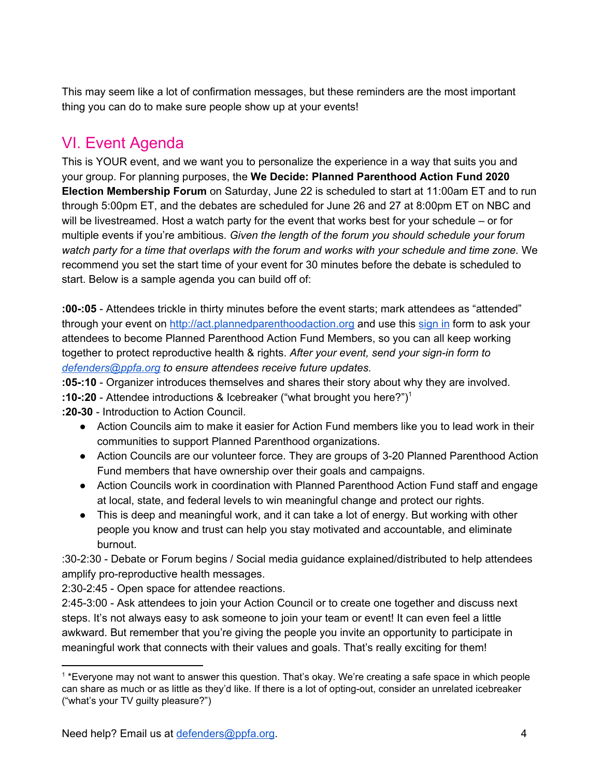This may seem like a lot of confirmation messages, but these reminders are the most important thing you can do to make sure people show up at your events!

# VI. Event Agenda

This is YOUR event, and we want you to personalize the experience in a way that suits you and your group. For planning purposes, the **We Decide: Planned Parenthood Action Fund 2020 Election Membership Forum** on Saturday, June 22 is scheduled to start at 11:00am ET and to run through 5:00pm ET, and the debates are scheduled for June 26 and 27 at 8:00pm ET on NBC and will be livestreamed. Host a watch party for the event that works best for your schedule – or for multiple events if you're ambitious. *Given the length of the forum you should schedule your forum watch party for a time that overlaps with the forum and works with your schedule and time zone.* We recommend you set the start time of your event for 30 minutes before the debate is scheduled to start. Below is a sample agenda you can build off of:

**:00-:05** - Attendees trickle in thirty minutes before the event starts; mark attendees as "attended" through your event on [http://act.plannedparenthoodaction.org](http://act.plannedparenthoodaction.org/) and use this [sign](https://www.plannedparenthoodaction.org/uploads/filer_public/62/fb/62fb2676-dc49-4f71-b1f5-4d306200d4ff/action-fund-member-sign-in-form.pdf) in form to ask your attendees to become Planned Parenthood Action Fund Members, so you can all keep working together to protect reproductive health & rights. *After your event, send your sign-in form to [defenders@ppfa.org](mailto:defenders@ppfa.org) to ensure attendees receive future updates.*

**:05-:10** - Organizer introduces themselves and shares their story about why they are involved.

**:10-:20** - Attendee introductions & Icebreaker ("what brought you here?") 1

**:20-30** - Introduction to Action Council.

- Action Councils aim to make it easier for Action Fund members like you to lead work in their communities to support Planned Parenthood organizations.
- Action Councils are our volunteer force. They are groups of 3-20 Planned Parenthood Action Fund members that have ownership over their goals and campaigns.
- Action Councils work in coordination with Planned Parenthood Action Fund staff and engage at local, state, and federal levels to win meaningful change and protect our rights.
- This is deep and meaningful work, and it can take a lot of energy. But working with other people you know and trust can help you stay motivated and accountable, and eliminate burnout.

:30-2:30 - Debate or Forum begins / Social media guidance explained/distributed to help attendees amplify pro-reproductive health messages.

2:30-2:45 - Open space for attendee reactions.

2:45-3:00 - Ask attendees to join your Action Council or to create one together and discuss next steps. It's not always easy to ask someone to join your team or event! It can even feel a little awkward. But remember that you're giving the people you invite an opportunity to participate in meaningful work that connects with their values and goals. That's really exciting for them!

<sup>1</sup> \*Everyone may not want to answer this question. That's okay. We're creating a safe space in which people can share as much or as little as they'd like. If there is a lot of opting-out, consider an unrelated icebreaker ("what's your TV guilty pleasure?")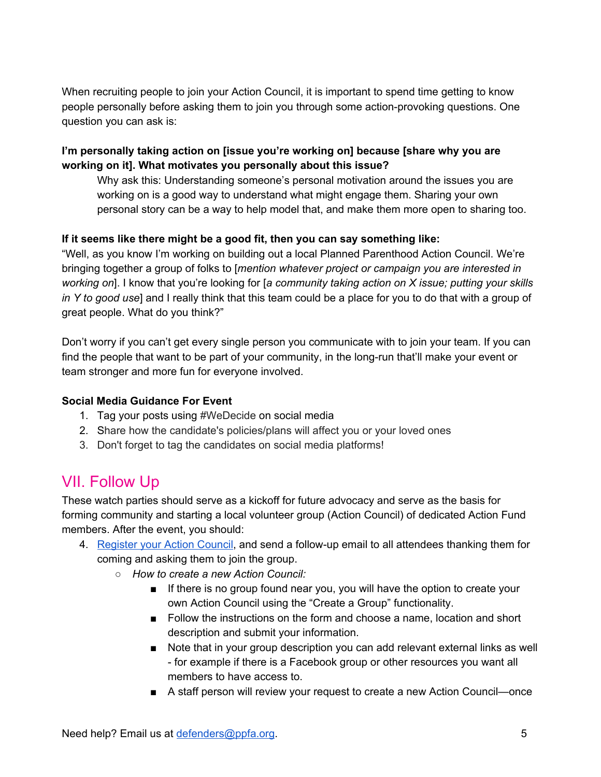When recruiting people to join your Action Council, it is important to spend time getting to know people personally before asking them to join you through some action-provoking questions. One question you can ask is:

#### **I'm personally taking action on [issue you're working on] because [share why you are working on it]. What motivates you personally about this issue?**

Why ask this: Understanding someone's personal motivation around the issues you are working on is a good way to understand what might engage them. Sharing your own personal story can be a way to help model that, and make them more open to sharing too.

#### **If it seems like there might be a good fit, then you can say something like:**

"Well, as you know I'm working on building out a local Planned Parenthood Action Council. We're bringing together a group of folks to [*mention whatever project or campaign you are interested in working on*]. I know that you're looking for [*a community taking action on X issue; putting your skills in Y to good use*] and I really think that this team could be a place for you to do that with a group of great people. What do you think?"

Don't worry if you can't get every single person you communicate with to join your team. If you can find the people that want to be part of your community, in the long-run that'll make your event or team stronger and more fun for everyone involved.

#### **Social Media Guidance For Event**

- 1. Tag your posts using #WeDecide on social media
- 2. Share how the candidate's policies/plans will affect you or your loved ones
- 3. Don't forget to tag the candidates on social media platforms!

### VII. Follow Up

These watch parties should serve as a kickoff for future advocacy and serve as the basis for forming community and starting a local volunteer group (Action Council) of dedicated Action Fund members. After the event, you should:

- 4. [Register](https://act.plannedparenthoodaction.org/group_collections/147/no_chapter) your Action Council, and send a follow-up email to all attendees thanking them for coming and asking them to join the group.
	- *○ How to create a new Action Council:*
		- If there is no group found near you, you will have the option to create your own Action Council using the "Create a Group" functionality.
		- Follow the instructions on the form and choose a name, location and short description and submit your information.
		- Note that in your group description you can add relevant external links as well - for example if there is a Facebook group or other resources you want all members to have access to.
		- A staff person will review your request to create a new Action Council—once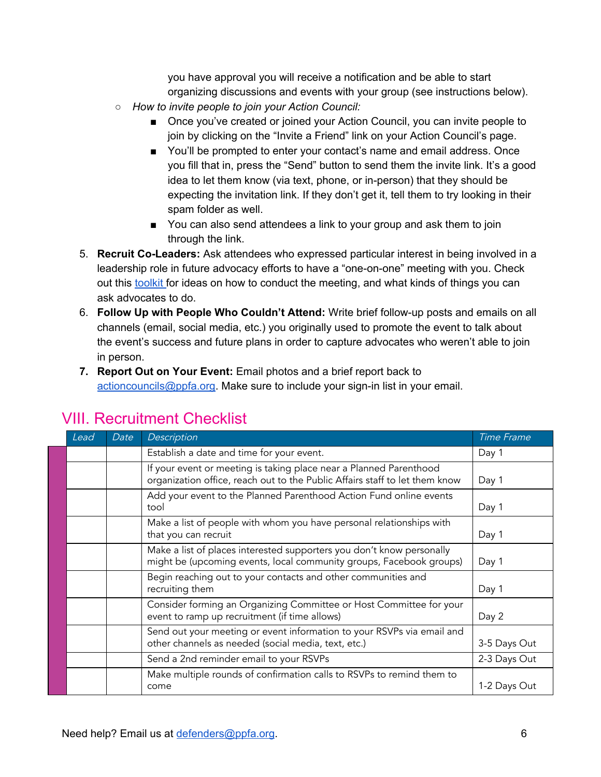you have approval you will receive a notification and be able to start organizing discussions and events with your group (see instructions below).

- *○ How to invite people to join your Action Council:*
	- Once you've created or joined your Action Council, you can invite people to join by clicking on the "Invite a Friend" link on your Action Council's page.
	- You'll be prompted to enter your contact's name and email address. Once you fill that in, press the "Send" button to send them the invite link. It's a good idea to let them know (via text, phone, or in-person) that they should be expecting the invitation link. If they don't get it, tell them to try looking in their spam folder as well.
	- You can also send attendees a link to your group and ask them to join through the link.
- 5. **Recruit Co-Leaders:** Ask attendees who expressed particular interest in being involved in a leadership role in future advocacy efforts to have a "one-on-one" meeting with you. Check out this [toolkit](https://www.plannedparenthoodaction.org/uploads/filer_public/cd/ef/cdef84cb-971a-4d41-846b-71dfc6a8d544/volunteer-toolkit-how-to-build-your-action-council-for-volunteers-5-13-19.pdf) for ideas on how to conduct the meeting, and what kinds of things you can ask advocates to do.
- 6. **Follow Up with People Who Couldn't Attend:** Write brief follow-up posts and emails on all channels (email, social media, etc.) you originally used to promote the event to talk about the event's success and future plans in order to capture advocates who weren't able to join in person.
- **7. Report Out on Your Event:** Email photos and a brief report back to [actioncouncils@ppfa.org.](mailto:actioncouncils@ppfa.org) Make sure to include your sign-in list in your email.

| Lead | Date | Description                                                                                                                                       | <b>Time Frame</b> |
|------|------|---------------------------------------------------------------------------------------------------------------------------------------------------|-------------------|
|      |      | Establish a date and time for your event.                                                                                                         | Day 1             |
|      |      | If your event or meeting is taking place near a Planned Parenthood<br>organization office, reach out to the Public Affairs staff to let them know | Day 1             |
|      |      | Add your event to the Planned Parenthood Action Fund online events<br>tool                                                                        | Day 1             |
|      |      | Make a list of people with whom you have personal relationships with<br>that you can recruit                                                      | Day 1             |
|      |      | Make a list of places interested supporters you don't know personally<br>might be (upcoming events, local community groups, Facebook groups)      | Day 1             |
|      |      | Begin reaching out to your contacts and other communities and<br>recruiting them                                                                  | Day 1             |
|      |      | Consider forming an Organizing Committee or Host Committee for your<br>event to ramp up recruitment (if time allows)                              | Day 2             |
|      |      | Send out your meeting or event information to your RSVPs via email and<br>other channels as needed (social media, text, etc.)                     | 3-5 Days Out      |
|      |      | Send a 2nd reminder email to your RSVPs                                                                                                           | 2-3 Days Out      |
|      |      | Make multiple rounds of confirmation calls to RSVPs to remind them to<br>come                                                                     | 1-2 Days Out      |

# VIII. Recruitment Checklist